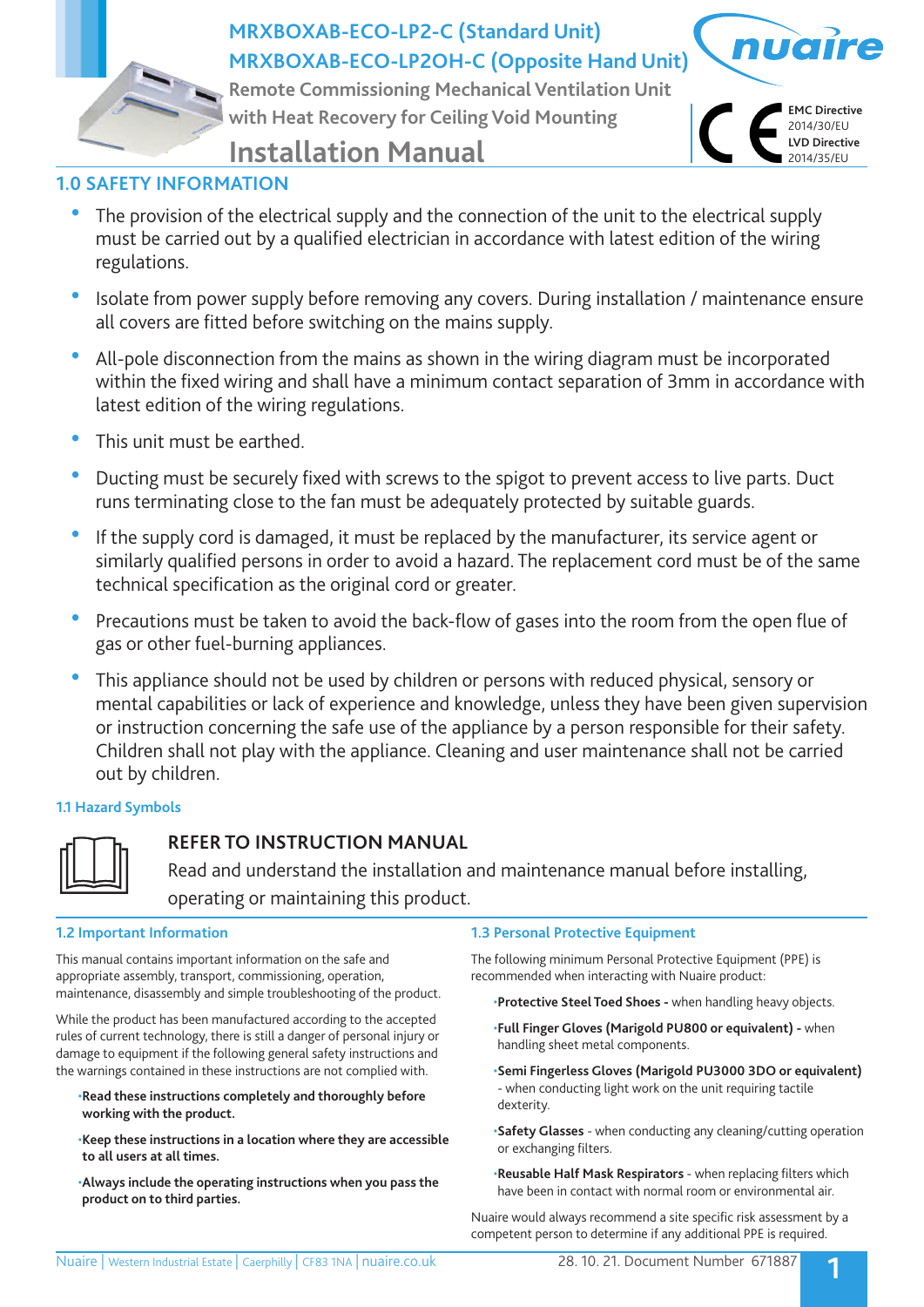

# **MRXBOXAB-ECO-LP2-C (Standard Unit) MRXBOXAB-ECO-LP2OH-C (Opposite Hand Unit)**

**Remote Commissioning Mechanical Ventilation Unit with Heat Recovery for Ceiling Void Mounting**



# **Installation Manual**

# **1.0 SAFETY INFORMATION**

- The provision of the electrical supply and the connection of the unit to the electrical supply must be carried out by a qualified electrician in accordance with latest edition of the wiring regulations.
- Isolate from power supply before removing any covers. During installation / maintenance ensure all covers are fitted before switching on the mains supply.
- All-pole disconnection from the mains as shown in the wiring diagram must be incorporated within the fixed wiring and shall have a minimum contact separation of 3mm in accordance with latest edition of the wiring regulations.
- This unit must be earthed.
- Ducting must be securely fixed with screws to the spigot to prevent access to live parts. Duct runs terminating close to the fan must be adequately protected by suitable guards.
- If the supply cord is damaged, it must be replaced by the manufacturer, its service agent or similarly qualified persons in order to avoid a hazard. The replacement cord must be of the same technical specification as the original cord or greater.
- Precautions must be taken to avoid the back-flow of gases into the room from the open flue of gas or other fuel-burning appliances.
- This appliance should not be used by children or persons with reduced physical, sensory or mental capabilities or lack of experience and knowledge, unless they have been given supervision or instruction concerning the safe use of the appliance by a person responsible for their safety. Children shall not play with the appliance. Cleaning and user maintenance shall not be carried out by children.

## **1.1 Hazard Symbols**



# **REFER TO INSTRUCTION MANUAL**

 Read and understand the installation and maintenance manual before installing, operating or maintaining this product.

## **1.2 Important Information**

This manual contains important information on the safe and appropriate assembly, transport, commissioning, operation, maintenance, disassembly and simple troubleshooting of the product.

While the product has been manufactured according to the accepted rules of current technology, there is still a danger of personal injury or damage to equipment if the following general safety instructions and the warnings contained in these instructions are not complied with.

- •**Read these instructions completely and thoroughly before working with the product.**
- •**Keep these instructions in a location where they are accessible to all users at all times.**
- •**Always include the operating instructions when you pass the product on to third parties.**

## **1.3 Personal Protective Equipment**

The following minimum Personal Protective Equipment (PPE) is recommended when interacting with Nuaire product:

•**Protective Steel Toed Shoes -** when handling heavy objects.

- •**Full Finger Gloves (Marigold PU800 or equivalent)** when handling sheet metal components.
- •**Semi Fingerless Gloves (Marigold PU3000 3DO or equivalent)**  - when conducting light work on the unit requiring tactile dexterity.
- •**Safety Glasses** when conducting any cleaning/cutting operation or exchanging filters.
- •**Reusable Half Mask Respirators**  when replacing filters which have been in contact with normal room or environmental air.

Nuaire would always recommend a site specific risk assessment by a competent person to determine if any additional PPE is required.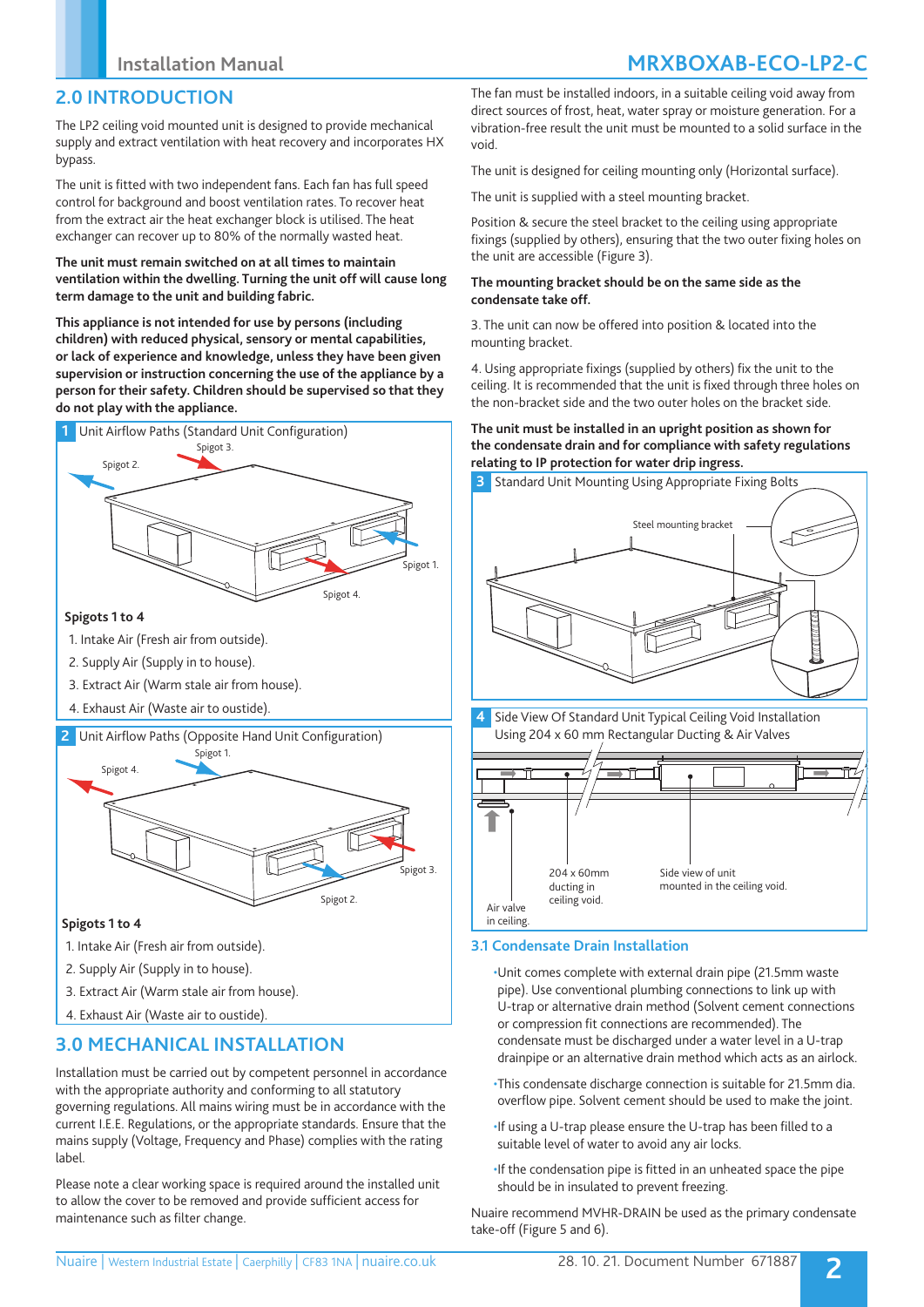## **2.0 INTRODUCTION**

The LP2 ceiling void mounted unit is designed to provide mechanical supply and extract ventilation with heat recovery and incorporates HX bypass.

The unit is fitted with two independent fans. Each fan has full speed control for background and boost ventilation rates. To recover heat from the extract air the heat exchanger block is utilised. The heat exchanger can recover up to 80% of the normally wasted heat.

#### **The unit must remain switched on at all times to maintain ventilation within the dwelling. Turning the unit off will cause long term damage to the unit and building fabric.**

**This appliance is not intended for use by persons (including children) with reduced physical, sensory or mental capabilities, or lack of experience and knowledge, unless they have been given supervision or instruction concerning the use of the appliance by a person for their safety. Children should be supervised so that they do not play with the appliance.**



#### **Spigots 1 to 4**

- 1. Intake Air (Fresh air from outside).
- 2. Supply Air (Supply in to house).
- 3. Extract Air (Warm stale air from house).
- 4. Exhaust Air (Waste air to oustide).

### **2** Unit Airflow Paths (Opposite Hand Unit Configuration)



### **Spigots 1 to 4**

- 1. Intake Air (Fresh air from outside).
- 2. Supply Air (Supply in to house).
- 3. Extract Air (Warm stale air from house).
- 4. Exhaust Air (Waste air to oustide).

# **3.0 MECHANICAL INSTALLATION**

Installation must be carried out by competent personnel in accordance with the appropriate authority and conforming to all statutory governing regulations. All mains wiring must be in accordance with the current I.E.E. Regulations, or the appropriate standards. Ensure that the mains supply (Voltage, Frequency and Phase) complies with the rating label.

Please note a clear working space is required around the installed unit to allow the cover to be removed and provide sufficient access for maintenance such as filter change.

The fan must be installed indoors, in a suitable ceiling void away from direct sources of frost, heat, water spray or moisture generation. For a vibration-free result the unit must be mounted to a solid surface in the void.

The unit is designed for ceiling mounting only (Horizontal surface).

The unit is supplied with a steel mounting bracket.

Position & secure the steel bracket to the ceiling using appropriate fixings (supplied by others), ensuring that the two outer fixing holes on the unit are accessible (Figure 3).

#### **The mounting bracket should be on the same side as the condensate take off.**

3. The unit can now be offered into position & located into the mounting bracket.

4. Using appropriate fixings (supplied by others) fix the unit to the ceiling. It is recommended that the unit is fixed through three holes on the non-bracket side and the two outer holes on the bracket side.

#### **The unit must be installed in an upright position as shown for the condensate drain and for compliance with safety regulations relating to IP protection for water drip ingress.**





## **3.1 Condensate Drain Installation**

•Unit comes complete with external drain pipe (21.5mm waste pipe). Use conventional plumbing connections to link up with U-trap or alternative drain method (Solvent cement connections or compression fit connections are recommended). The condensate must be discharged under a water level in a U-trap drainpipe or an alternative drain method which acts as an airlock.

- •This condensate discharge connection is suitable for 21.5mm dia. overflow pipe. Solvent cement should be used to make the joint.
- •If using a U-trap please ensure the U-trap has been filled to a suitable level of water to avoid any air locks.
- •If the condensation pipe is fitted in an unheated space the pipe should be in insulated to prevent freezing.

Nuaire recommend MVHR-DRAIN be used as the primary condensate take-off (Figure 5 and 6).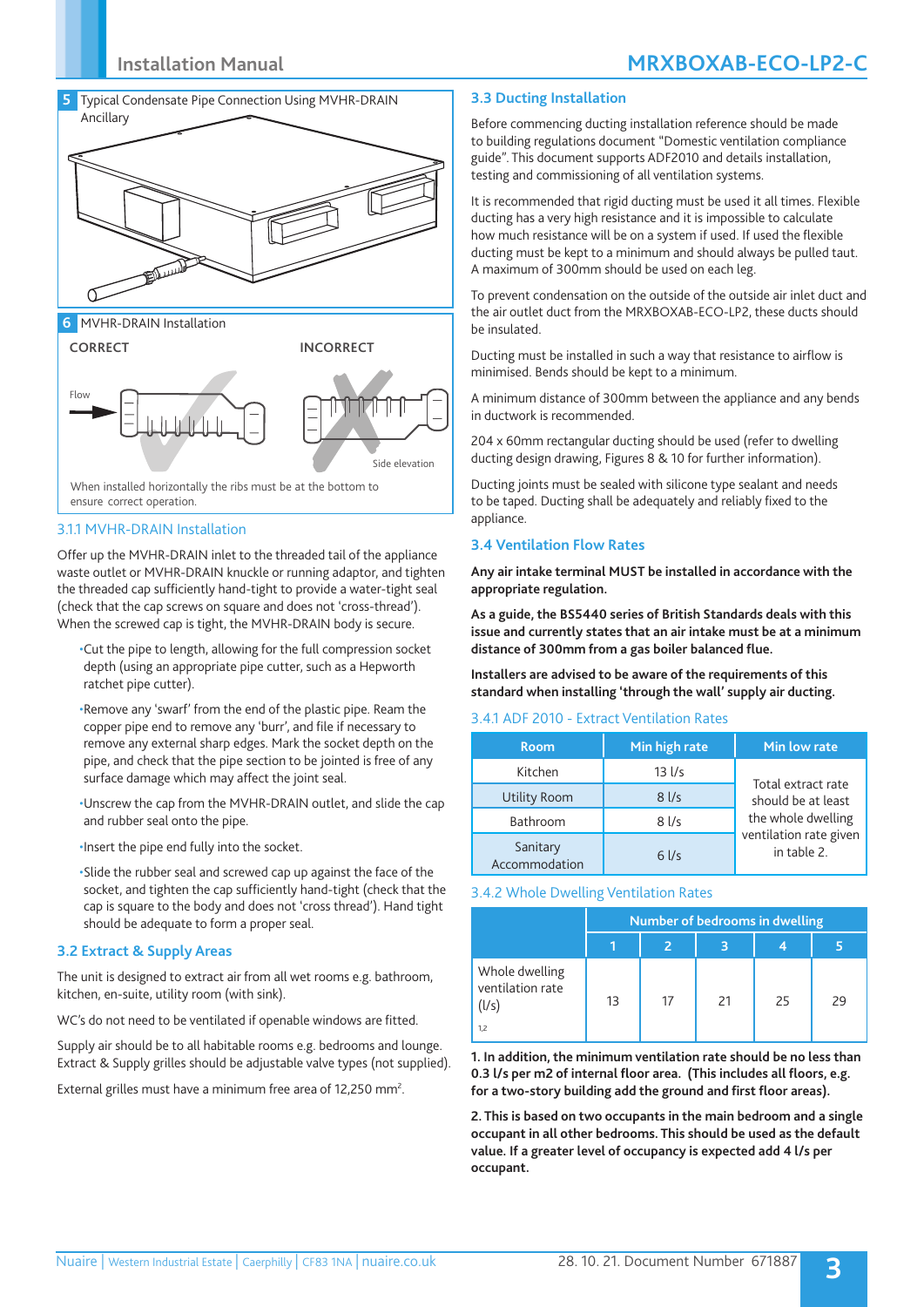

**6** MVHR-DRAIN Installation



3.1.1 MVHR-DRAIN Installation

Offer up the MVHR-DRAIN inlet to the threaded tail of the appliance waste outlet or MVHR-DRAIN knuckle or running adaptor, and tighten the threaded cap sufficiently hand-tight to provide a water-tight seal (check that the cap screws on square and does not 'cross-thread'). When the screwed cap is tight, the MVHR-DRAIN body is secure.

- •Cut the pipe to length, allowing for the full compression socket depth (using an appropriate pipe cutter, such as a Hepworth ratchet pipe cutter).
- •Remove any 'swarf' from the end of the plastic pipe. Ream the copper pipe end to remove any 'burr', and file if necessary to remove any external sharp edges. Mark the socket depth on the pipe, and check that the pipe section to be jointed is free of any surface damage which may affect the joint seal.
- •Unscrew the cap from the MVHR-DRAIN outlet, and slide the cap and rubber seal onto the pipe.
- •Insert the pipe end fully into the socket.

•Slide the rubber seal and screwed cap up against the face of the socket, and tighten the cap sufficiently hand-tight (check that the cap is square to the body and does not 'cross thread'). Hand tight should be adequate to form a proper seal.

#### **3.2 Extract & Supply Areas**

The unit is designed to extract air from all wet rooms e.g. bathroom, kitchen, en-suite, utility room (with sink).

WC's do not need to be ventilated if openable windows are fitted.

Supply air should be to all habitable rooms e.g. bedrooms and lounge. Extract & Supply grilles should be adjustable valve types (not supplied).

External grilles must have a minimum free area of 12,250 mm<sup>2</sup>.

#### **3.3 Ducting Installation**

Before commencing ducting installation reference should be made to building regulations document "Domestic ventilation compliance guide". This document supports ADF2010 and details installation, testing and commissioning of all ventilation systems.

It is recommended that rigid ducting must be used it all times. Flexible ducting has a very high resistance and it is impossible to calculate how much resistance will be on a system if used. If used the flexible ducting must be kept to a minimum and should always be pulled taut. A maximum of 300mm should be used on each leg.

To prevent condensation on the outside of the outside air inlet duct and the air outlet duct from the MRXBOXAB-ECO-LP2, these ducts should be insulated.

Ducting must be installed in such a way that resistance to airflow is minimised. Bends should be kept to a minimum.

A minimum distance of 300mm between the appliance and any bends in ductwork is recommended.

204 x 60mm rectangular ducting should be used (refer to dwelling ducting design drawing, Figures 8 & 10 for further information).

Ducting joints must be sealed with silicone type sealant and needs to be taped. Ducting shall be adequately and reliably fixed to the appliance.

#### **3.4 Ventilation Flow Rates**

**Any air intake terminal MUST be installed in accordance with the appropriate regulation.**

**As a guide, the BS5440 series of British Standards deals with this issue and currently states that an air intake must be at a minimum distance of 300mm from a gas boiler balanced flue.**

**Installers are advised to be aware of the requirements of this standard when installing 'through the wall' supply air ducting.**

#### 3.4.1 ADF 2010 - Extract Ventilation Rates

| <b>Room</b>               | Min high rate | Min low rate                                                |  |  |
|---------------------------|---------------|-------------------------------------------------------------|--|--|
| Kitchen                   | $13$ $1/s$    | Total extract rate<br>should be at least                    |  |  |
| Utility Room              | $8$ I/s       |                                                             |  |  |
| Bathroom                  | 8 l/s         | the whole dwelling<br>ventilation rate given<br>in table 2. |  |  |
| Sanitary<br>Accommodation | $6$ I/s       |                                                             |  |  |

#### 3.4.2 Whole Dwelling Ventilation Rates

|                                                    | Number of bedrooms in dwelling |    |    |    |    |  |
|----------------------------------------------------|--------------------------------|----|----|----|----|--|
|                                                    |                                |    |    |    |    |  |
| Whole dwelling<br>ventilation rate<br>(l/s)<br>1,2 | 13                             | 17 | 21 | 25 | 29 |  |

**1. In addition, the minimum ventilation rate should be no less than 0.3 l/s per m2 of internal floor area. (This includes all floors, e.g. for a two-story building add the ground and first floor areas).**

**2. This is based on two occupants in the main bedroom and a single occupant in all other bedrooms. This should be used as the default value. If a greater level of occupancy is expected add 4 l/s per occupant.**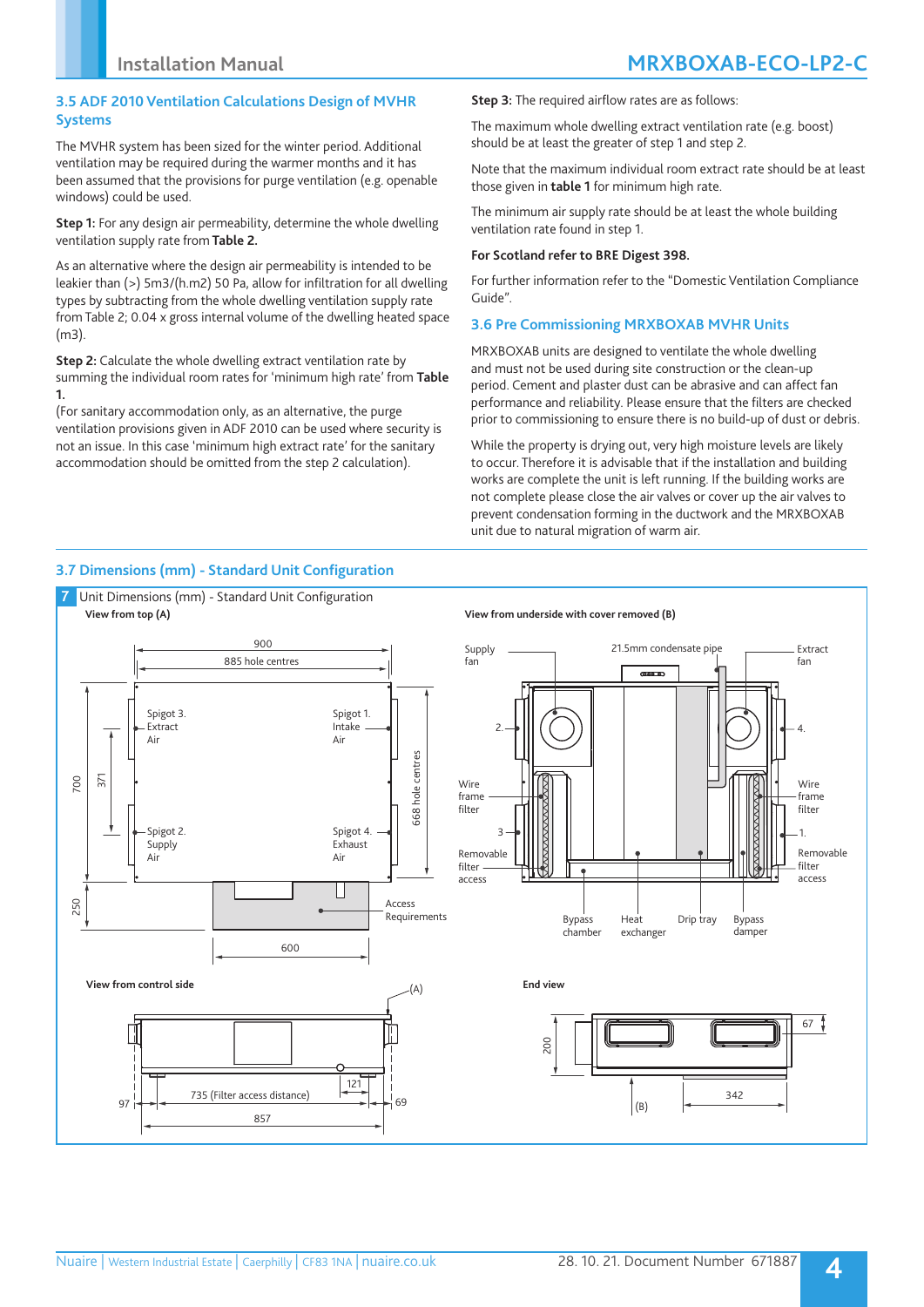### **3.5 ADF 2010 Ventilation Calculations Design of MVHR Systems**

The MVHR system has been sized for the winter period. Additional ventilation may be required during the warmer months and it has been assumed that the provisions for purge ventilation (e.g. openable windows) could be used.

**Step 1:** For any design air permeability, determine the whole dwelling ventilation supply rate from **Table 2.**

As an alternative where the design air permeability is intended to be leakier than (>) 5m3/(h.m2) 50 Pa, allow for infiltration for all dwelling types by subtracting from the whole dwelling ventilation supply rate from Table 2; 0.04 x gross internal volume of the dwelling heated space (m3).

**Step 2:** Calculate the whole dwelling extract ventilation rate by summing the individual room rates for 'minimum high rate' from **Table 1.** 

(For sanitary accommodation only, as an alternative, the purge ventilation provisions given in ADF 2010 can be used where security is not an issue. In this case 'minimum high extract rate' for the sanitary accommodation should be omitted from the step 2 calculation).

**Step 3:** The required airflow rates are as follows:

The maximum whole dwelling extract ventilation rate (e.g. boost) should be at least the greater of step 1 and step 2.

Note that the maximum individual room extract rate should be at least those given in **table 1** for minimum high rate.

The minimum air supply rate should be at least the whole building ventilation rate found in step 1.

#### **For Scotland refer to BRE Digest 398.**

For further information refer to the "Domestic Ventilation Compliance Guide".

### **3.6 Pre Commissioning MRXBOXAB MVHR Units**

MRXBOXAB units are designed to ventilate the whole dwelling and must not be used during site construction or the clean-up period. Cement and plaster dust can be abrasive and can affect fan performance and reliability. Please ensure that the filters are checked prior to commissioning to ensure there is no build-up of dust or debris.

While the property is drying out, very high moisture levels are likely to occur. Therefore it is advisable that if the installation and building works are complete the unit is left running. If the building works are not complete please close the air valves or cover up the air valves to prevent condensation forming in the ductwork and the MRXBOXAB unit due to natural migration of warm air.

## **3.7 Dimensions (mm) - Standard Unit Configuration**

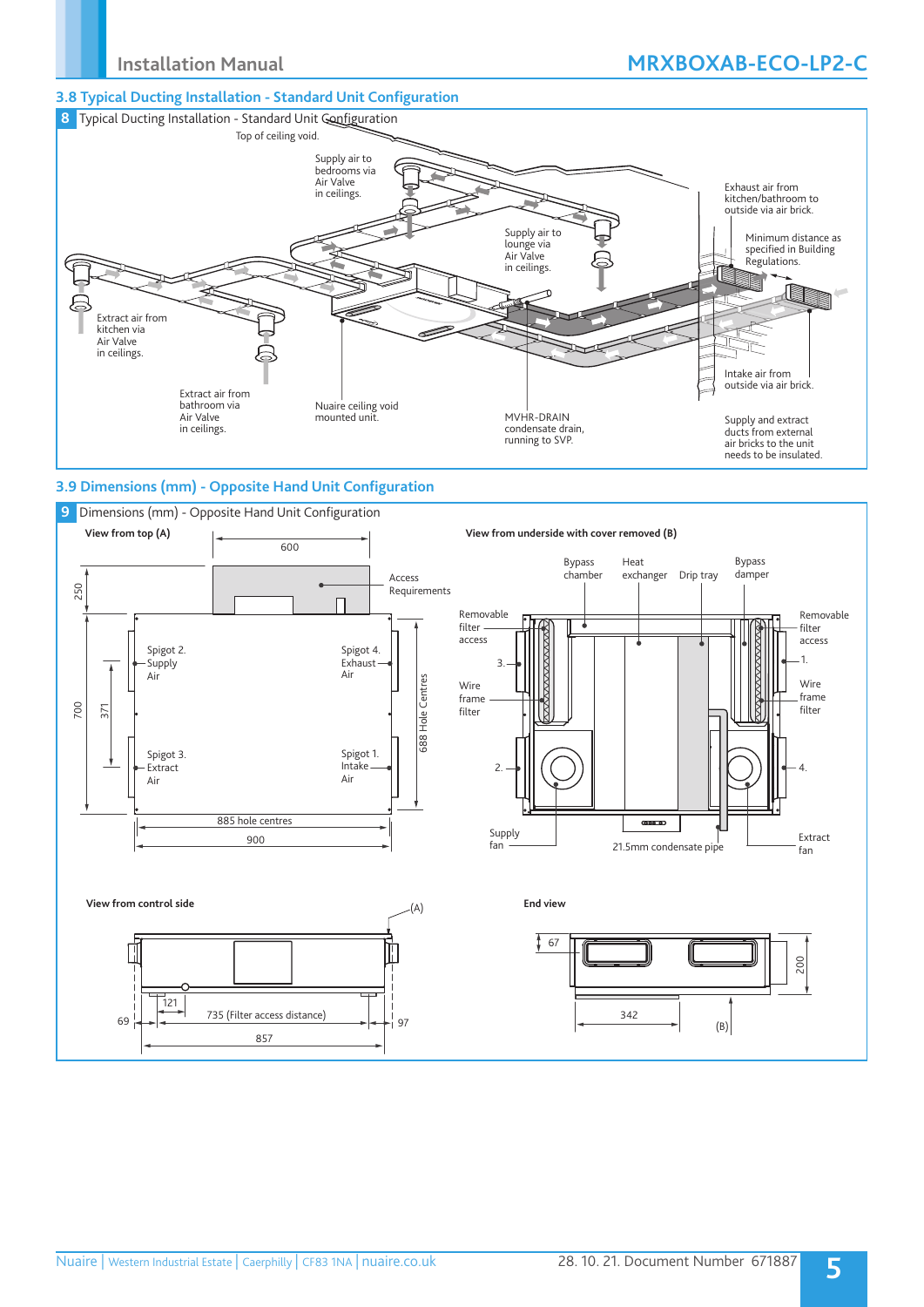## **3.8 Typical Ducting Installation - Standard Unit Configuration**



## **3.9 Dimensions (mm) - Opposite Hand Unit Configuration**

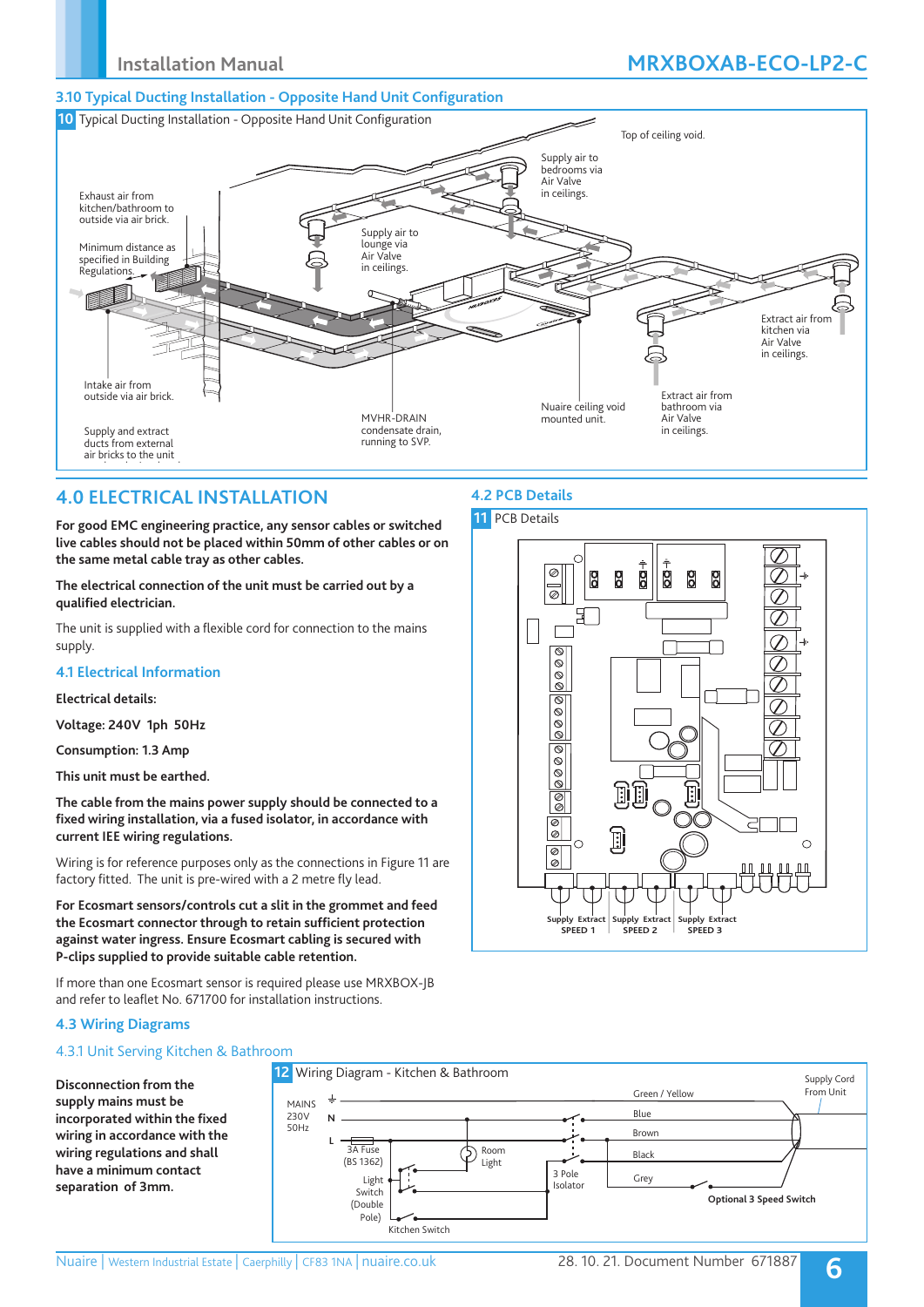### **3.10 Typical Ducting Installation - Opposite Hand Unit Configuration**



**4.2 PCB Details**

## **4.0 ELECTRICAL INSTALLATION**

**For good EMC engineering practice, any sensor cables or switched live cables should not be placed within 50mm of other cables or on the same metal cable tray as other cables.**

**The electrical connection of the unit must be carried out by a qualified electrician.** 

The unit is supplied with a flexible cord for connection to the mains supply.

### **4.1 Electrical Information**

#### **Electrical details:**

**Voltage: 240V 1ph 50Hz**

**Consumption: 1.3 Amp** 

**This unit must be earthed.**

**The cable from the mains power supply should be connected to a fixed wiring installation, via a fused isolator, in accordance with current IEE wiring regulations.**

Wiring is for reference purposes only as the connections in Figure 11 are factory fitted. The unit is pre-wired with a 2 metre fly lead.

**For Ecosmart sensors/controls cut a slit in the grommet and feed the Ecosmart connector through to retain sufficient protection against water ingress. Ensure Ecosmart cabling is secured with P-clips supplied to provide suitable cable retention.** 

If more than one Ecosmart sensor is required please use MRXBOX-JB and refer to leaflet No. 671700 for installation instructions.

## **4.3 Wiring Diagrams**

## 4.3.1 Unit Serving Kitchen & Bathroom

**Disconnection from the supply mains must be incorporated within the fixed wiring in accordance with the wiring regulations and shall have a minimum contact separation of 3mm.**



## **11** PCB Details  $\frac{1}{2}$  $\oslash$ g 8 8 **P** Po  $\overline{\circ}$ 日  $\overline{\circ}$  $|\mathscr{O} \otimes \mathscr{O}|$  $\circledcirc \circledcirc$ 886888 Пi E  $\bar{\text{I}}$  $\mathbf{F}$  $\overline{C}$  $\bigcirc$  $\overline{\mathscr{D}}$  $\bar{\mathscr{O}}$ **Supply Extract Supply Extract Supply Extract** SPEED 2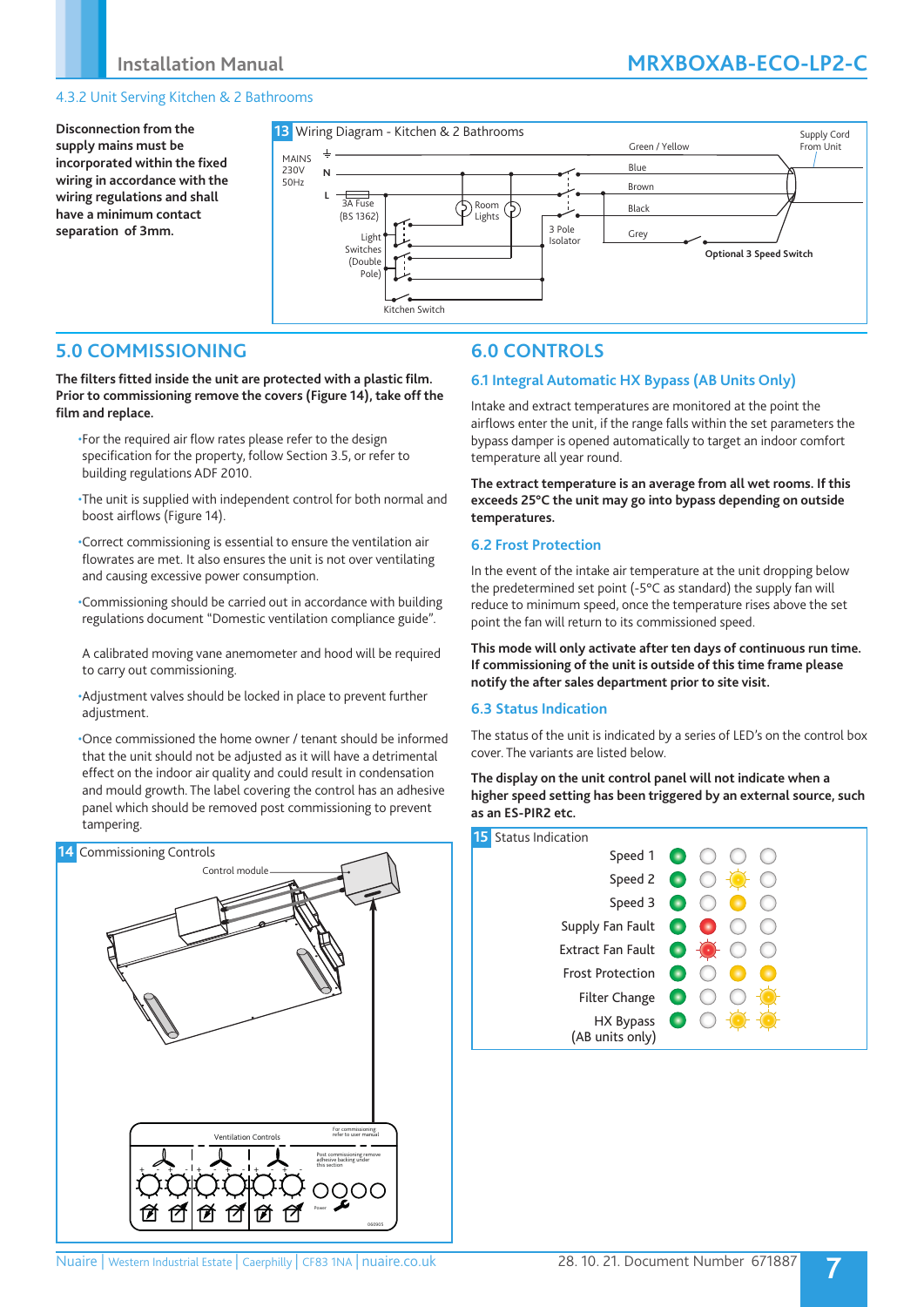## 4.3.2 Unit Serving Kitchen & 2 Bathrooms

**Disconnection from the supply mains must be incorporated within the fixed wiring in accordance with the wiring regulations and shall have a minimum contact separation of 3mm.**



## **5.0 COMMISSIONING**

**The filters fitted inside the unit are protected with a plastic film. Prior to commissioning remove the covers (Figure 14), take off the film and replace.**

- •For the required air flow rates please refer to the design specification for the property, follow Section 3.5, or refer to building regulations ADF 2010.
- •The unit is supplied with independent control for both normal and boost airflows (Figure 14).

•Correct commissioning is essential to ensure the ventilation air flowrates are met. It also ensures the unit is not over ventilating and causing excessive power consumption.

- •Commissioning should be carried out in accordance with building regulations document "Domestic ventilation compliance guide".
- A calibrated moving vane anemometer and hood will be required to carry out commissioning.
- •Adjustment valves should be locked in place to prevent further adjustment.

•Once commissioned the home owner / tenant should be informed that the unit should not be adjusted as it will have a detrimental effect on the indoor air quality and could result in condensation and mould growth. The label covering the control has an adhesive panel which should be removed post commissioning to prevent tampering.



# **6.0 CONTROLS**

## **6.1 Integral Automatic HX Bypass (AB Units Only)**

Intake and extract temperatures are monitored at the point the airflows enter the unit, if the range falls within the set parameters the bypass damper is opened automatically to target an indoor comfort temperature all year round.

**The extract temperature is an average from all wet rooms. If this exceeds 25°C the unit may go into bypass depending on outside temperatures.**

### **6.2 Frost Protection**

In the event of the intake air temperature at the unit dropping below the predetermined set point (-5°C as standard) the supply fan will reduce to minimum speed, once the temperature rises above the set point the fan will return to its commissioned speed.

**This mode will only activate after ten days of continuous run time. If commissioning of the unit is outside of this time frame please notify the after sales department prior to site visit.**

### **6.3 Status Indication**

The status of the unit is indicated by a series of LED's on the control box cover. The variants are listed below.

**The display on the unit control panel will not indicate when a higher speed setting has been triggered by an external source, such as an ES-PIR2 etc.**